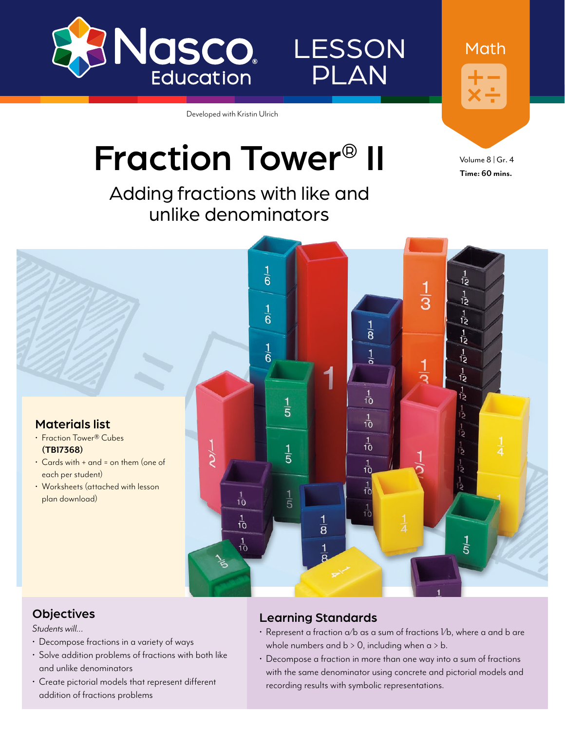

LESSON PLAN

Developed with Kristin Ulrich

# Fraction Tower® II

Adding fractions with like and unlike denominators

Volume 8 | Gr. 4 **Time: 60 mins.**

Math

 $\frac{1}{6}$ Ď  $\frac{1}{3}$  $\frac{1}{12}$  $\frac{1}{6}$  $\overrightarrow{12}$  $\frac{1}{8}$  $\frac{1}{12}$  $\frac{1}{6}$ Τò  $\frac{1}{12}$  $\frac{1}{10}$ وَا  $\frac{1}{5}$  $\frac{1}{10}$ خِ Materials list • Fraction Tower® Cubes  $\frac{1}{10}$ –∕ر  $\frac{1}{5}$ **[\(TB17368](http://www.enasco.com/p/TB17368))** • Cards with + and = on them (one of  $\frac{1}{10}$ each per student)  $\frac{1}{10}$ • Worksheets (attached with lesson  $\frac{1}{10}$ plan download)  $\dot{5}$  $\frac{1}{10}$  $\overline{8}$  $\frac{1}{10}$ .<br>5

### **Objectives**

*Students will…*

- Decompose fractions in a variety of ways
- Solve addition problems of fractions with both like and unlike denominators
- Create pictorial models that represent different addition of fractions problems

### Learning Standards

- Represent a fraction  $\alpha$ /b as a sum of fractions  $l$ /b, where a and b are whole numbers and  $b > 0$ , including when  $a > b$ .
- Decompose a fraction in more than one way into a sum of fractions with the same denominator using concrete and pictorial models and recording results with symbolic representations.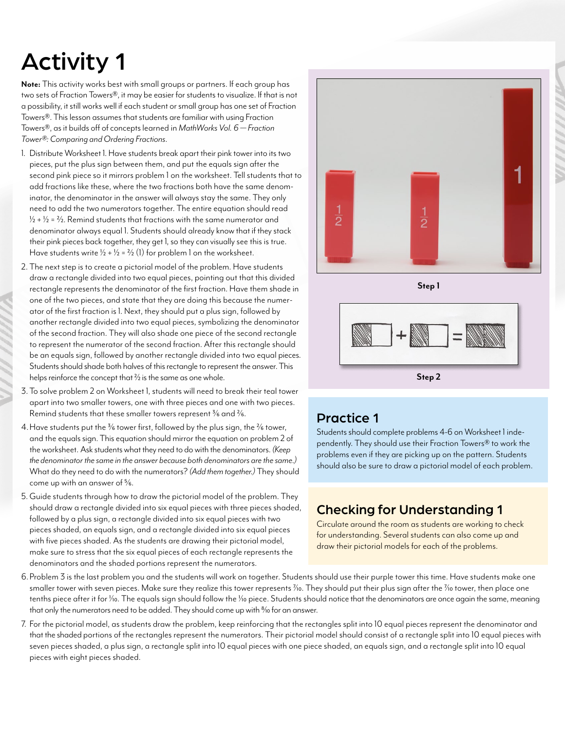## Activity 1

**Note:** This activity works best with small groups or partners. If each group has two sets of Fraction Towers®, it may be easier for students to visualize. If that is not a possibility, it still works well if each student or small group has one set of Fraction Towers®. This lesson assumes that students are familiar with using Fraction Towers®, as it builds off of concepts learned in *MathWorks Vol. 6 — Fraction Tower®: Comparing and Ordering Fractions*.

- 1. Distribute Worksheet 1. Have students break apart their pink tower into its two pieces, put the plus sign between them, and put the equals sign after the second pink piece so it mirrors problem 1 on the worksheet. Tell students that to add fractions like these, where the two fractions both have the same denominator, the denominator in the answer will always stay the same. They only need to add the two numerators together. The entire equation should read  $1/2 + 1/2 = 2/2$ . Remind students that fractions with the same numerator and denominator always equal 1. Students should already know that if they stack their pink pieces back together, they get 1, so they can visually see this is true. Have students write  $1/2 + 1/2 = 2/2$  (1) for problem 1 on the worksheet.
- 2. The next step is to create a pictorial model of the problem. Have students draw a rectangle divided into two equal pieces, pointing out that this divided rectangle represents the denominator of the first fraction. Have them shade in one of the two pieces, and state that they are doing this because the numerator of the first fraction is 1. Next, they should put a plus sign, followed by another rectangle divided into two equal pieces, symbolizing the denominator of the second fraction. They will also shade one piece of the second rectangle to represent the numerator of the second fraction. After this rectangle should be an equals sign, followed by another rectangle divided into two equal pieces. Students should shade both halves of this rectangle to represent the answer. This helps reinforce the concept that  $\frac{2}{2}$  is the same as one whole.
- 3. To solve problem 2 on Worksheet 1, students will need to break their teal tower apart into two smaller towers, one with three pieces and one with two pieces. Remind students that these smaller towers represent 3/6 and 2/6.
- 4. Have students put the <sup>3</sup>/6 tower first, followed by the plus sign, the <sup>2</sup>/6 tower, and the equals sign. This equation should mirror the equation on problem 2 of the worksheet. Ask students what they need to do with the denominators. *(Keep the denominator the same in the answer because both denominators are the same.)* What do they need to do with the numerators? *(Add them together.)* They should come up with an answer of 5/6.
- 5.Guide students through how to draw the pictorial model of the problem. They should draw a rectangle divided into six equal pieces with three pieces shaded, followed by a plus sign, a rectangle divided into six equal pieces with two pieces shaded, an equals sign, and a rectangle divided into six equal pieces with five pieces shaded. As the students are drawing their pictorial model, make sure to stress that the six equal pieces of each rectangle represents the denominators and the shaded portions represent the numerators.



**Step 1**

### Practice 1

Students should complete problems 4-6 on Worksheet 1 independently. They should use their Fraction Towers® to work the problems even if they are picking up on the pattern. Students should also be sure to draw a pictorial model of each problem.

**Step 2**

### Checking for Understanding 1

Circulate around the room as students are working to check for understanding. Several students can also come up and draw their pictorial models for each of the problems.

- 6.Problem 3 is the last problem you and the students will work on together. Students should use their purple tower this time. Have students make one smaller tower with seven pieces. Make sure they realize this tower represents  $\%$ o. They should put their plus sign after the  $\%$ o tower, then place one tenths piece after it for *Yio*. The equals sign should follow the *Yio* piece. Students should notice that the denominators are once again the same, meaning that only the numerators need to be added. They should come up with % for an answer.
- 7. For the pictorial model, as students draw the problem, keep reinforcing that the rectangles split into 10 equal pieces represent the denominator and that the shaded portions of the rectangles represent the numerators. Their pictorial model should consist of a rectangle split into 10 equal pieces with seven pieces shaded, a plus sign, a rectangle split into 10 equal pieces with one piece shaded, an equals sign, and a rectangle split into 10 equal pieces with eight pieces shaded.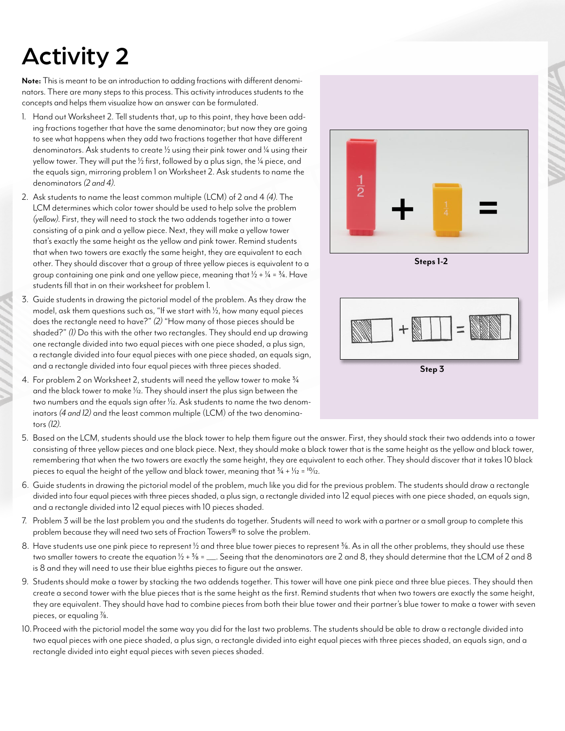### Activity 2

**Note:** This is meant to be an introduction to adding fractions with different denominators. There are many steps to this process. This activity introduces students to the concepts and helps them visualize how an answer can be formulated.

- 1. Hand out Worksheet 2. Tell students that, up to this point, they have been adding fractions together that have the same denominator; but now they are going to see what happens when they add two fractions together that have different denominators. Ask students to create  $\frac{1}{2}$  using their pink tower and  $\frac{1}{4}$  using their yellow tower. They will put the  $\frac{1}{2}$  first, followed by a plus sign, the  $\frac{1}{4}$  piece, and the equals sign, mirroring problem 1 on Worksheet 2. Ask students to name the denominators *(2 and 4)*.
- 2. Ask students to name the least common multiple (LCM) of 2 and 4 *(4)*. The LCM determines which color tower should be used to help solve the problem *(yellow)*. First, they will need to stack the two addends together into a tower consisting of a pink and a yellow piece. Next, they will make a yellow tower that's exactly the same height as the yellow and pink tower. Remind students that when two towers are exactly the same height, they are equivalent to each other. They should discover that a group of three yellow pieces is equivalent to a group containing one pink and one yellow piece, meaning that  $1/2 + 1/4 = 3/4$ . Have students fill that in on their worksheet for problem 1.
- 3. Guide students in drawing the pictorial model of the problem. As they draw the model, ask them questions such as, "If we start with  $\frac{1}{2}$ , how many equal pieces does the rectangle need to have?" *(2)* "How many of those pieces should be shaded?" *(1)* Do this with the other two rectangles. They should end up drawing one rectangle divided into two equal pieces with one piece shaded, a plus sign, a rectangle divided into four equal pieces with one piece shaded, an equals sign, and a rectangle divided into four equal pieces with three pieces shaded.
- 4. For problem 2 on Worksheet 2, students will need the yellow tower to make 3/4 and the black tower to make 1/12. They should insert the plus sign between the two numbers and the equals sign after 1/12. Ask students to name the two denominators *(4 and 12)* and the least common multiple (LCM) of the two denominators *(12)*.



**Steps 1-2**



- 5. Based on the LCM, students should use the black tower to help them figure out the answer. First, they should stack their two addends into a tower consisting of three yellow pieces and one black piece. Next, they should make a black tower that is the same height as the yellow and black tower, remembering that when the two towers are exactly the same height, they are equivalent to each other. They should discover that it takes 10 black pieces to equal the height of the yellow and black tower, meaning that  $\frac{3}{4} + \frac{1}{12} = \frac{10}{12}$ .
- 6. Guide students in drawing the pictorial model of the problem, much like you did for the previous problem. The students should draw a rectangle divided into four equal pieces with three pieces shaded, a plus sign, a rectangle divided into 12 equal pieces with one piece shaded, an equals sign, and a rectangle divided into 12 equal pieces with 10 pieces shaded.
- 7. Problem 3 will be the last problem you and the students do together. Students will need to work with a partner or a small group to complete this problem because they will need two sets of Fraction Towers® to solve the problem.
- 8. Have students use one pink piece to represent 1/2 and three blue tower pieces to represent 3/8. As in all the other problems, they should use these two smaller towers to create the equation  $1/2 + 3/8 =$   $\ldots$  Seeing that the denominators are 2 and 8, they should determine that the LCM of 2 and 8 is 8 and they will need to use their blue eighths pieces to figure out the answer.
- 9. Students should make a tower by stacking the two addends together. This tower will have one pink piece and three blue pieces. They should then create a second tower with the blue pieces that is the same height as the first. Remind students that when two towers are exactly the same height, they are equivalent. They should have had to combine pieces from both their blue tower and their partner's blue tower to make a tower with seven pieces, or equaling  $\frac{7}{8}$ .
- 10.Proceed with the pictorial model the same way you did for the last two problems. The students should be able to draw a rectangle divided into two equal pieces with one piece shaded, a plus sign, a rectangle divided into eight equal pieces with three pieces shaded, an equals sign, and a rectangle divided into eight equal pieces with seven pieces shaded.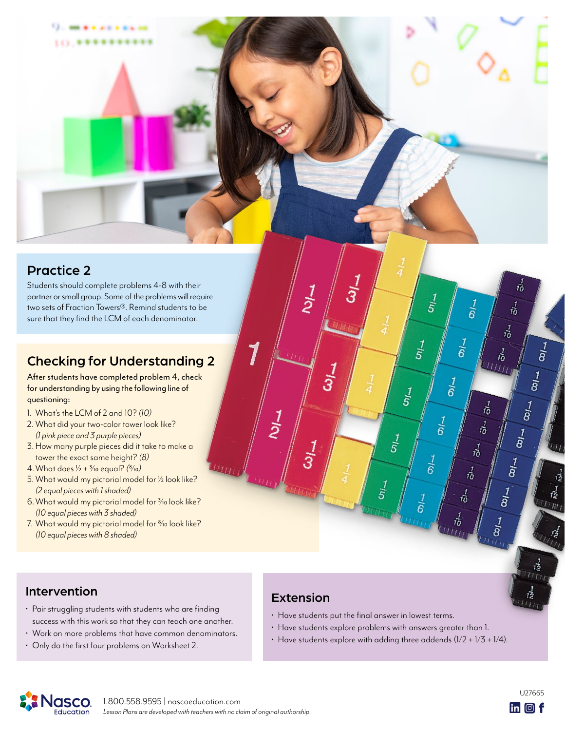### Practice 2

Students should complete problems 4-8 with their partner or small group. Some of the problems will require two sets of Fraction Towers®. Remind students to be sure that they find the LCM of each denominator.

### Checking for Understanding 2

After students have completed problem 4, check for understanding by using the following line of questioning:

- 1. What's the LCM of 2 and 10? *(10)*
- 2. What did your two-color tower look like? *(1 pink piece and 3 purple pieces)*
- 3.How many purple pieces did it take to make a tower the exact same height? *(8)*
- 4.What does 1/2 + 3/10 equal? *(*8/10*)*
- 5. What would my pictorial model for  $\frac{1}{2}$  look like? *(2 equal pieces with 1 shaded)*
- 6. What would my pictorial model for 3/10 look like? *(10 equal pieces with 3 shaded)*
- 7. What would my pictorial model for %10 look like? *(10 equal pieces with 8 shaded)*

### Extension

 $\frac{1}{2}$ 

 $\frac{1}{3}$ 

 $\overline{3}$ 

7

 $\frac{1}{2}$ 

 $\tilde{3}$ 

 $\frac{1}{5}$ 

 $\frac{1}{5}$ 

 $\frac{1}{5}$ 

 $\frac{1}{5}$ 

 $\frac{7}{5}$ 

 $\frac{1}{6}$ 

 $\frac{1}{6}$ 

 $\frac{1}{6}$ 

 $\frac{1}{6}$ 

 $\frac{1}{6}$ 

 $\frac{1}{6}$ 

- Have students put the final answer in lowest terms.
- Have students explore problems with answers greater than 1.
- Have students explore with adding three addends  $(1/2 + 1/3 + 1/4)$ .

### Intervention

- Pair struggling students with students who are finding success with this work so that they can teach one another.
- Work on more problems that have common denominators.
- Only do the first four problems on Worksheet 2.





ñ

 $\frac{1}{8}$ 

É

 $\frac{1}{12}$ 

 $l/m$ 

 $\vec{v}$ 

 $\begin{array}{c}\n 3 \\
1 \\
1 \\
2 \\
3 \\
4\n \end{array}$ 

 $\frac{1}{8}$ 

 $\vec{v}$ 

 $\vec{v}$  $UU$ 

 $\vec{r_0}$ 

 $\frac{1}{10}$ 

 $\vec{r}$ 

 $\vec{v}$ 

 $\vec{v}$ 

お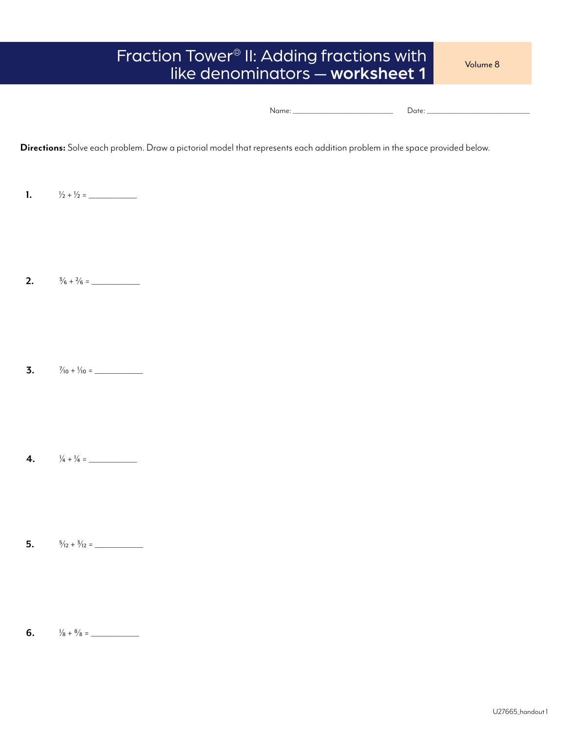### Fraction Tower® II: Adding fractions with like denominators - worksheet 1

Volume 8

|--|--|

**Directions:** Solve each problem. Draw a pictorial model that represents each addition problem in the space provided below.

**1.**  $1/2 + 1/2 =$ 

**2.**  $\frac{3}{6} + \frac{2}{6} =$ 

**3.**  $\frac{7}{10} + \frac{1}{10} =$ 

- **4.**  $\frac{1}{4} + \frac{1}{4} =$
- **5.**  $\frac{5}{12} + \frac{3}{12} =$

**6.**  $\frac{1}{8} + \frac{8}{8} =$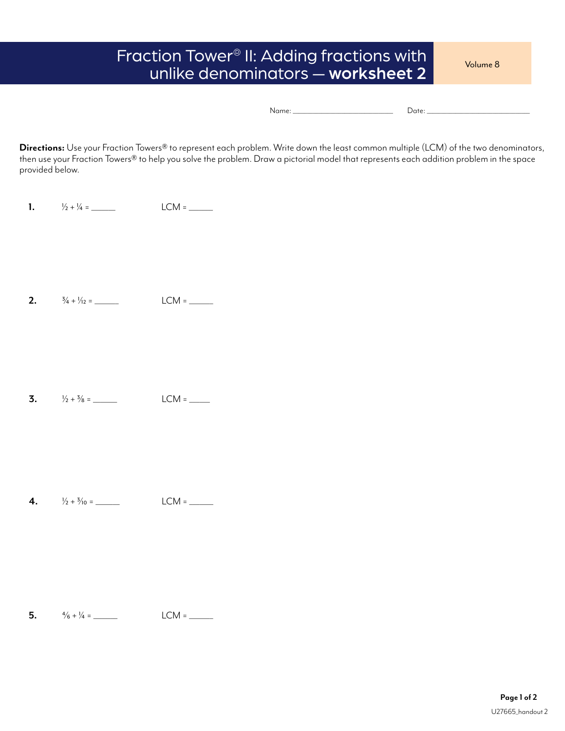### Fraction Tower® II: Adding fractions with unlike denominators — worksheet 2

Volume 8

|--|--|

**Directions:** Use your Fraction Towers® to represent each problem. Write down the least common multiple (LCM) of the two denominators, then use your Fraction Towers® to help you solve the problem. Draw a pictorial model that represents each addition problem in the space provided below.

**1.**  $1/2 + 1/4 =$  LCM =

**2.**  $\frac{3}{4} + \frac{1}{12} =$  LCM =

**3.**  $\frac{1}{2} + \frac{3}{8} =$  LCM = \_\_\_\_\_

**4.**  $\frac{1}{2} + \frac{3}{10} =$  LCM =

**5.**  $\frac{4}{6} + \frac{1}{4} =$  LCM = \_\_\_\_\_\_\_